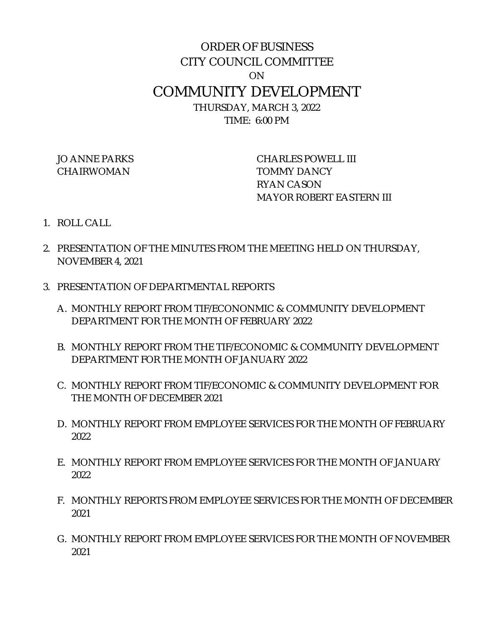## ORDER OF BUSINESS CITY COUNCIL COMMITTEE ON COMMUNITY DEVELOPMENT THURSDAY, MARCH 3, 2022 TIME: 6:00 PM

CHAIRWOMAN TOMMY DANCY

JO ANNE PARKS CHARLES POWELL III RYAN CASON MAYOR ROBERT EASTERN III

- 1. ROLL CALL
- 2. PRESENTATION OF THE MINUTES FROM THE MEETING HELD ON THURSDAY, NOVEMBER 4, 2021
- 3. PRESENTATION OF DEPARTMENTAL REPORTS
	- A. MONTHLY REPORT FROM TIF/ECONONMIC & COMMUNITY DEVELOPMENT DEPARTMENT FOR THE MONTH OF FEBRUARY 2022
	- B. MONTHLY REPORT FROM THE TIF/ECONOMIC & COMMUNITY DEVELOPMENT DEPARTMENT FOR THE MONTH OF JANUARY 2022
	- C. MONTHLY REPORT FROM TIF/ECONOMIC & COMMUNITY DEVELOPMENT FOR THE MONTH OF DECEMBER 2021
	- D. MONTHLY REPORT FROM EMPLOYEE SERVICES FOR THE MONTH OF FEBRUARY 2022
	- E. MONTHLY REPORT FROM EMPLOYEE SERVICES FOR THE MONTH OF JANUARY 2022
	- F. MONTHLY REPORTS FROM EMPLOYEE SERVICES FOR THE MONTH OF DECEMBER 2021
	- G. MONTHLY REPORT FROM EMPLOYEE SERVICES FOR THE MONTH OF NOVEMBER 2021